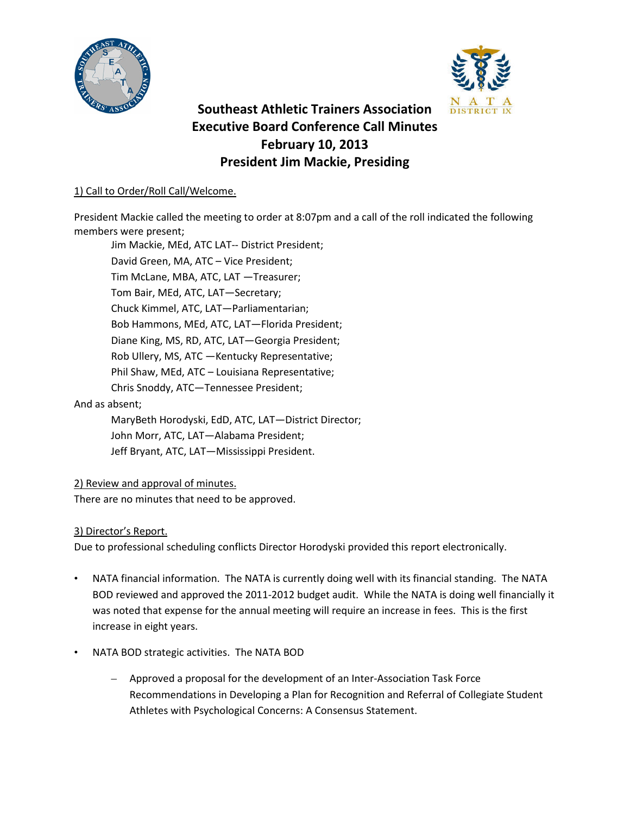



# **Southeast Athletic Trainers Association Executive Board Conference Call Minutes February 10, 2013 President Jim Mackie, Presiding**

# 1) Call to Order/Roll Call/Welcome.

President Mackie called the meeting to order at 8:07pm and a call of the roll indicated the following members were present;

Jim Mackie, MEd, ATC LAT-- District President; David Green, MA, ATC – Vice President; Tim McLane, MBA, ATC, LAT —Treasurer; Tom Bair, MEd, ATC, LAT—Secretary; Chuck Kimmel, ATC, LAT—Parliamentarian; Bob Hammons, MEd, ATC, LAT—Florida President; Diane King, MS, RD, ATC, LAT—Georgia President; Rob Ullery, MS, ATC —Kentucky Representative; Phil Shaw, MEd, ATC – Louisiana Representative; Chris Snoddy, ATC—Tennessee President; And as absent;

> MaryBeth Horodyski, EdD, ATC, LAT—District Director; John Morr, ATC, LAT—Alabama President; Jeff Bryant, ATC, LAT—Mississippi President.

# 2) Review and approval of minutes.

There are no minutes that need to be approved.

# 3) Director's Report.

Due to professional scheduling conflicts Director Horodyski provided this report electronically.

- NATA financial information. The NATA is currently doing well with its financial standing. The NATA BOD reviewed and approved the 2011-2012 budget audit. While the NATA is doing well financially it was noted that expense for the annual meeting will require an increase in fees. This is the first increase in eight years.
- NATA BOD strategic activities. The NATA BOD
	- Approved a proposal for the development of an Inter-Association Task Force Recommendations in Developing a Plan for Recognition and Referral of Collegiate Student Athletes with Psychological Concerns: A Consensus Statement.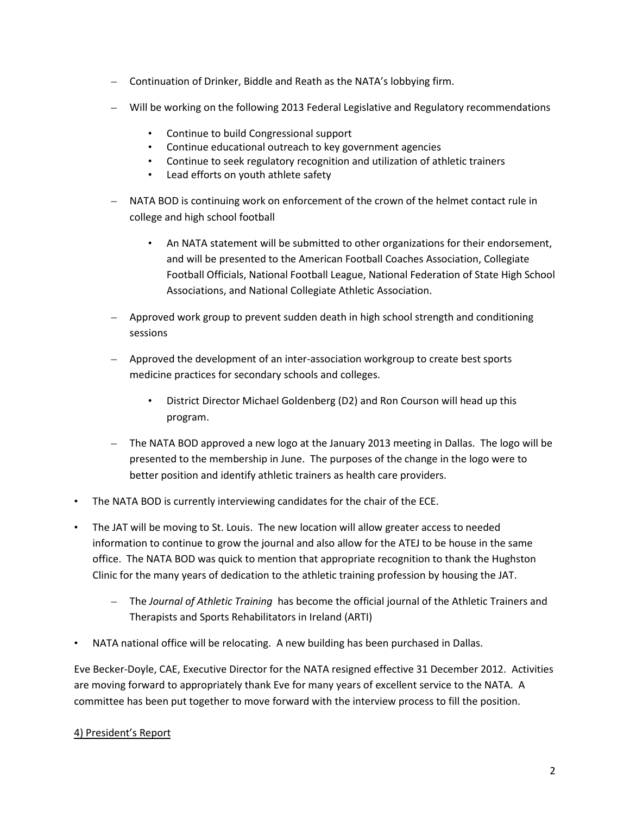- Continuation of Drinker, Biddle and Reath as the NATA's lobbying firm.
- Will be working on the following 2013 Federal Legislative and Regulatory recommendations
	- Continue to build Congressional support
	- Continue educational outreach to key government agencies
	- Continue to seek regulatory recognition and utilization of athletic trainers
	- Lead efforts on youth athlete safety
- NATA BOD is continuing work on enforcement of the crown of the helmet contact rule in college and high school football
	- An NATA statement will be submitted to other organizations for their endorsement, and will be presented to the American Football Coaches Association, Collegiate Football Officials, National Football League, National Federation of State High School Associations, and National Collegiate Athletic Association.
- Approved work group to prevent sudden death in high school strength and conditioning sessions
- Approved the development of an inter-association workgroup to create best sports medicine practices for secondary schools and colleges.
	- District Director Michael Goldenberg (D2) and Ron Courson will head up this program.
- The NATA BOD approved a new logo at the January 2013 meeting in Dallas. The logo will be presented to the membership in June. The purposes of the change in the logo were to better position and identify athletic trainers as health care providers.
- The NATA BOD is currently interviewing candidates for the chair of the ECE.
- The JAT will be moving to St. Louis. The new location will allow greater access to needed information to continue to grow the journal and also allow for the ATEJ to be house in the same office. The NATA BOD was quick to mention that appropriate recognition to thank the Hughston Clinic for the many years of dedication to the athletic training profession by housing the JAT.
	- The *Journal of Athletic Training* has become the official journal of the Athletic Trainers and Therapists and Sports Rehabilitators in Ireland (ARTI)
- NATA national office will be relocating. A new building has been purchased in Dallas.

Eve Becker-Doyle, CAE, Executive Director for the NATA resigned effective 31 December 2012. Activities are moving forward to appropriately thank Eve for many years of excellent service to the NATA. A committee has been put together to move forward with the interview process to fill the position.

#### 4) President's Report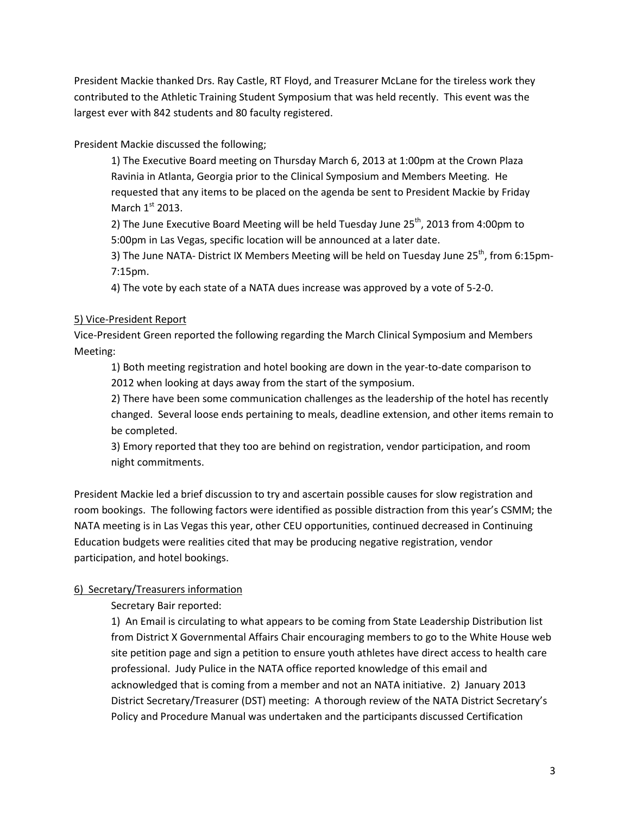President Mackie thanked Drs. Ray Castle, RT Floyd, and Treasurer McLane for the tireless work they contributed to the Athletic Training Student Symposium that was held recently. This event was the largest ever with 842 students and 80 faculty registered.

President Mackie discussed the following;

1) The Executive Board meeting on Thursday March 6, 2013 at 1:00pm at the Crown Plaza Ravinia in Atlanta, Georgia prior to the Clinical Symposium and Members Meeting. He requested that any items to be placed on the agenda be sent to President Mackie by Friday March  $1<sup>st</sup>$  2013.

2) The June Executive Board Meeting will be held Tuesday June  $25<sup>th</sup>$ , 2013 from 4:00pm to 5:00pm in Las Vegas, specific location will be announced at a later date.

3) The June NATA- District IX Members Meeting will be held on Tuesday June  $25<sup>th</sup>$ , from 6:15pm-7:15pm.

4) The vote by each state of a NATA dues increase was approved by a vote of 5-2-0.

# 5) Vice-President Report

Vice-President Green reported the following regarding the March Clinical Symposium and Members Meeting:

1) Both meeting registration and hotel booking are down in the year-to-date comparison to 2012 when looking at days away from the start of the symposium.

2) There have been some communication challenges as the leadership of the hotel has recently changed. Several loose ends pertaining to meals, deadline extension, and other items remain to be completed.

3) Emory reported that they too are behind on registration, vendor participation, and room night commitments.

President Mackie led a brief discussion to try and ascertain possible causes for slow registration and room bookings. The following factors were identified as possible distraction from this year's CSMM; the NATA meeting is in Las Vegas this year, other CEU opportunities, continued decreased in Continuing Education budgets were realities cited that may be producing negative registration, vendor participation, and hotel bookings.

# 6) Secretary/Treasurers information

Secretary Bair reported:

1) An Email is circulating to what appears to be coming from State Leadership Distribution list from District X Governmental Affairs Chair encouraging members to go to the White House web site petition page and sign a petition to ensure youth athletes have direct access to health care professional. Judy Pulice in the NATA office reported knowledge of this email and acknowledged that is coming from a member and not an NATA initiative. 2) January 2013 District Secretary/Treasurer (DST) meeting: A thorough review of the NATA District Secretary's Policy and Procedure Manual was undertaken and the participants discussed Certification